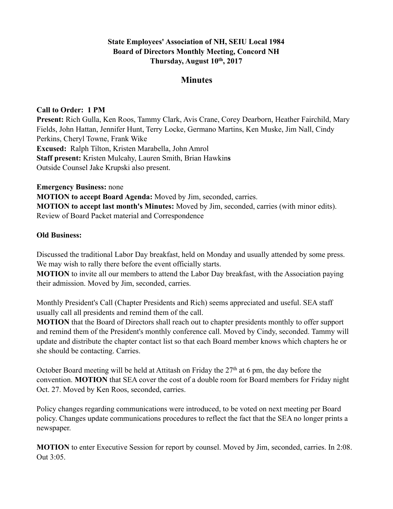## **State Employees' Association of NH, SEIU Local 1984 Board of Directors Monthly Meeting, Concord NH Thursday, August 10th, 2017**

# **Minutes**

### **Call to Order: 1 PM**

**Present:** Rich Gulla, Ken Roos, Tammy Clark, Avis Crane, Corey Dearborn, Heather Fairchild, Mary Fields, John Hattan, Jennifer Hunt, Terry Locke, Germano Martins, Ken Muske, Jim Nall, Cindy Perkins, Cheryl Towne, Frank Wike **Excused:** Ralph Tilton, Kristen Marabella, John Amrol **Staff present:** Kristen Mulcahy, Lauren Smith, Brian Hawkin**s** Outside Counsel Jake Krupski also present.

**Emergency Business:** none

**MOTION to accept Board Agenda:** Moved by Jim, seconded, carries. **MOTION to accept last month's Minutes:** Moved by Jim, seconded, carries (with minor edits). Review of Board Packet material and Correspondence

#### **Old Business:**

Discussed the traditional Labor Day breakfast, held on Monday and usually attended by some press. We may wish to rally there before the event officially starts.

**MOTION** to invite all our members to attend the Labor Day breakfast, with the Association paying their admission. Moved by Jim, seconded, carries.

Monthly President's Call (Chapter Presidents and Rich) seems appreciated and useful. SEA staff usually call all presidents and remind them of the call.

**MOTION** that the Board of Directors shall reach out to chapter presidents monthly to offer support and remind them of the President's monthly conference call. Moved by Cindy, seconded. Tammy will update and distribute the chapter contact list so that each Board member knows which chapters he or she should be contacting. Carries.

October Board meeting will be held at Attitash on Friday the  $27<sup>th</sup>$  at 6 pm, the day before the convention. **MOTION** that SEA cover the cost of a double room for Board members for Friday night Oct. 27. Moved by Ken Roos, seconded, carries.

Policy changes regarding communications were introduced, to be voted on next meeting per Board policy. Changes update communications procedures to reflect the fact that the SEA no longer prints a newspaper.

**MOTION** to enter Executive Session for report by counsel. Moved by Jim, seconded, carries. In 2:08. Out 3:05.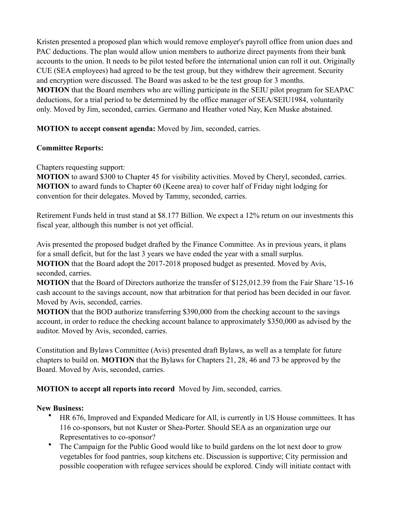Kristen presented a proposed plan which would remove employer's payroll office from union dues and PAC deductions. The plan would allow union members to authorize direct payments from their bank accounts to the union. It needs to be pilot tested before the international union can roll it out. Originally CUE (SEA employees) had agreed to be the test group, but they withdrew their agreement. Security and encryption were discussed. The Board was asked to be the test group for 3 months. **MOTION** that the Board members who are willing participate in the SEIU pilot program for SEAPAC deductions, for a trial period to be determined by the office manager of SEA/SEIU1984, voluntarily only. Moved by Jim, seconded, carries. Germano and Heather voted Nay, Ken Muske abstained.

## **MOTION to accept consent agenda:** Moved by Jim, seconded, carries.

### **Committee Reports:**

Chapters requesting support:

**MOTION** to award \$300 to Chapter 45 for visibility activities. Moved by Cheryl, seconded, carries. **MOTION** to award funds to Chapter 60 (Keene area) to cover half of Friday night lodging for convention for their delegates. Moved by Tammy, seconded, carries.

Retirement Funds held in trust stand at \$8.177 Billion. We expect a 12% return on our investments this fiscal year, although this number is not yet official.

Avis presented the proposed budget drafted by the Finance Committee. As in previous years, it plans for a small deficit, but for the last 3 years we have ended the year with a small surplus.

**MOTION** that the Board adopt the 2017-2018 proposed budget as presented. Moved by Avis, seconded, carries.

**MOTION** that the Board of Directors authorize the transfer of \$125,012.39 from the Fair Share '15-16 cash account to the savings account, now that arbitration for that period has been decided in our favor. Moved by Avis, seconded, carries.

**MOTION** that the BOD authorize transferring \$390,000 from the checking account to the savings account, in order to reduce the checking account balance to approximately \$350,000 as advised by the auditor. Moved by Avis, seconded, carries.

Constitution and Bylaws Committee (Avis) presented draft Bylaws, as well as a template for future chapters to build on. **MOTION** that the Bylaws for Chapters 21, 28, 46 and 73 be approved by the Board. Moved by Avis, seconded, carries.

**MOTION to accept all reports into record** Moved by Jim, seconded, carries.

### **New Business:**

- HR 676, Improved and Expanded Medicare for All, is currently in US House committees. It has 116 co-sponsors, but not Kuster or Shea-Porter. Should SEA as an organization urge our Representatives to co-sponsor?
- The Campaign for the Public Good would like to build gardens on the lot next door to grow vegetables for food pantries, soup kitchens etc. Discussion is supportive; City permission and possible cooperation with refugee services should be explored. Cindy will initiate contact with